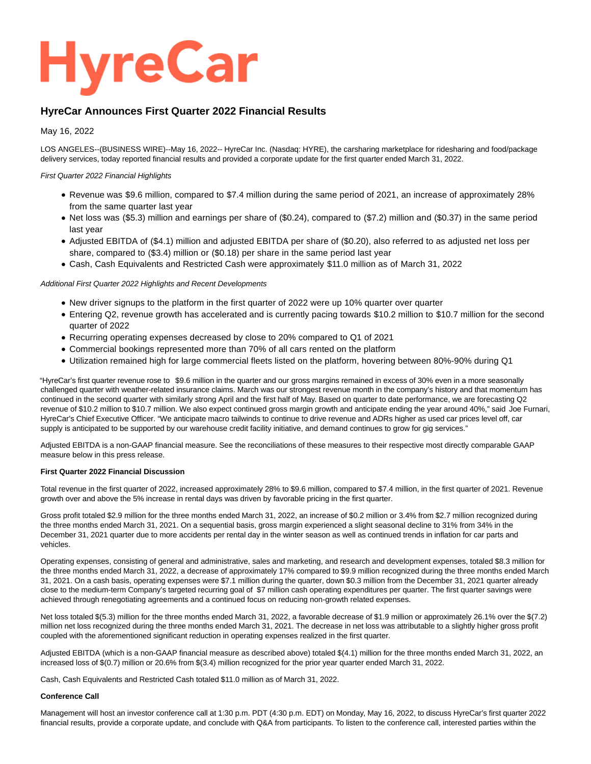# **HyreCar**

## **HyreCar Announces First Quarter 2022 Financial Results**

May 16, 2022

LOS ANGELES--(BUSINESS WIRE)--May 16, 2022-- HyreCar Inc. (Nasdaq: HYRE), the carsharing marketplace for ridesharing and food/package delivery services, today reported financial results and provided a corporate update for the first quarter ended March 31, 2022.

#### First Quarter 2022 Financial Highlights

- Revenue was \$9.6 million, compared to \$7.4 million during the same period of 2021, an increase of approximately 28% from the same quarter last year
- Net loss was (\$5.3) million and earnings per share of (\$0.24), compared to (\$7.2) million and (\$0.37) in the same period last year
- Adjusted EBITDA of (\$4.1) million and adjusted EBITDA per share of (\$0.20), also referred to as adjusted net loss per share, compared to (\$3.4) million or (\$0.18) per share in the same period last year
- Cash, Cash Equivalents and Restricted Cash were approximately \$11.0 million as of March 31, 2022

#### Additional First Quarter 2022 Highlights and Recent Developments

- New driver signups to the platform in the first quarter of 2022 were up 10% quarter over quarter
- Entering Q2, revenue growth has accelerated and is currently pacing towards \$10.2 million to \$10.7 million for the second quarter of 2022
- Recurring operating expenses decreased by close to 20% compared to Q1 of 2021
- Commercial bookings represented more than 70% of all cars rented on the platform
- Utilization remained high for large commercial fleets listed on the platform, hovering between 80%-90% during Q1

"HyreCar's first quarter revenue rose to \$9.6 million in the quarter and our gross margins remained in excess of 30% even in a more seasonally challenged quarter with weather-related insurance claims. March was our strongest revenue month in the company's history and that momentum has continued in the second quarter with similarly strong April and the first half of May. Based on quarter to date performance, we are forecasting Q2 revenue of \$10.2 million to \$10.7 million. We also expect continued gross margin growth and anticipate ending the year around 40%," said Joe Furnari, HyreCar's Chief Executive Officer. "We anticipate macro tailwinds to continue to drive revenue and ADRs higher as used car prices level off, car supply is anticipated to be supported by our warehouse credit facility initiative, and demand continues to grow for gig services."

Adjusted EBITDA is a non-GAAP financial measure. See the reconciliations of these measures to their respective most directly comparable GAAP measure below in this press release.

#### **First Quarter 2022 Financial Discussion**

Total revenue in the first quarter of 2022, increased approximately 28% to \$9.6 million, compared to \$7.4 million, in the first quarter of 2021. Revenue growth over and above the 5% increase in rental days was driven by favorable pricing in the first quarter.

Gross profit totaled \$2.9 million for the three months ended March 31, 2022, an increase of \$0.2 million or 3.4% from \$2.7 million recognized during the three months ended March 31, 2021. On a sequential basis, gross margin experienced a slight seasonal decline to 31% from 34% in the December 31, 2021 quarter due to more accidents per rental day in the winter season as well as continued trends in inflation for car parts and vehicles.

Operating expenses, consisting of general and administrative, sales and marketing, and research and development expenses, totaled \$8.3 million for the three months ended March 31, 2022, a decrease of approximately 17% compared to \$9.9 million recognized during the three months ended March 31, 2021. On a cash basis, operating expenses were \$7.1 million during the quarter, down \$0.3 million from the December 31, 2021 quarter already close to the medium-term Company's targeted recurring goal of \$7 million cash operating expenditures per quarter. The first quarter savings were achieved through renegotiating agreements and a continued focus on reducing non-growth related expenses.

Net loss totaled \$(5.3) million for the three months ended March 31, 2022, a favorable decrease of \$1.9 million or approximately 26.1% over the \$(7.2) million net loss recognized during the three months ended March 31, 2021. The decrease in net loss was attributable to a slightly higher gross profit coupled with the aforementioned significant reduction in operating expenses realized in the first quarter.

Adjusted EBITDA (which is a non-GAAP financial measure as described above) totaled \$(4.1) million for the three months ended March 31, 2022, an increased loss of \$(0.7) million or 20.6% from \$(3.4) million recognized for the prior year quarter ended March 31, 2022.

Cash, Cash Equivalents and Restricted Cash totaled \$11.0 million as of March 31, 2022.

#### **Conference Call**

Management will host an investor conference call at 1:30 p.m. PDT (4:30 p.m. EDT) on Monday, May 16, 2022, to discuss HyreCar's first quarter 2022 financial results, provide a corporate update, and conclude with Q&A from participants. To listen to the conference call, interested parties within the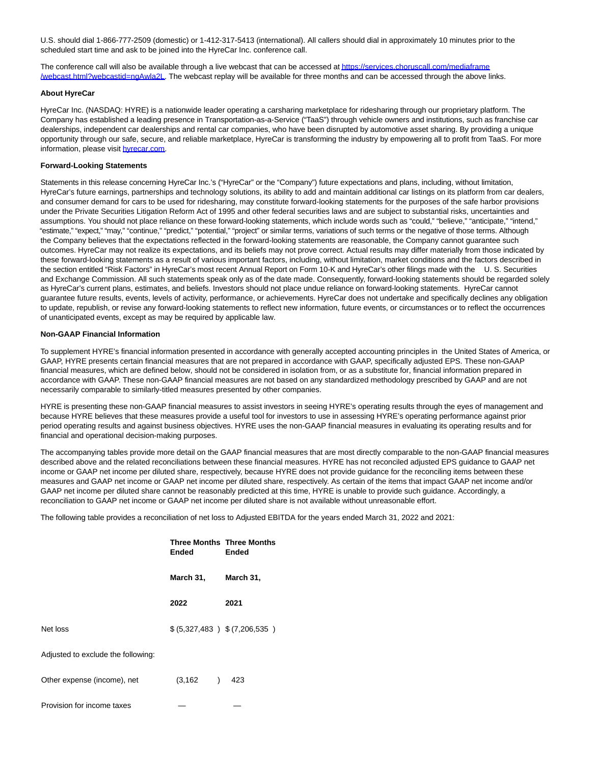U.S. should dial 1-866-777-2509 (domestic) or 1-412-317-5413 (international). All callers should dial in approximately 10 minutes prior to the scheduled start time and ask to be joined into the HyreCar Inc. conference call.

The conference call will also be available through a live webcast that can be accessed a[t https://services.choruscall.com/mediaframe](https://cts.businesswire.com/ct/CT?id=smartlink&url=https%3A%2F%2Fservices.choruscall.com%2Fmediaframe%2Fwebcast.html%3Fwebcastid%3DngAwla2L&esheet=52721391&newsitemid=20220516005976&lan=en-US&anchor=https%3A%2F%2Fservices.choruscall.com%2Fmediaframe%2Fwebcast.html%3Fwebcastid%3DngAwla2L&index=1&md5=df2a32f65070a1c9a805242b0d353004) /webcast.html?webcastid=ngAwla2L. The webcast replay will be available for three months and can be accessed through the above links.

#### **About HyreCar**

HyreCar Inc. (NASDAQ: HYRE) is a nationwide leader operating a carsharing marketplace for ridesharing through our proprietary platform. The Company has established a leading presence in Transportation-as-a-Service ("TaaS") through vehicle owners and institutions, such as franchise car dealerships, independent car dealerships and rental car companies, who have been disrupted by automotive asset sharing. By providing a unique opportunity through our safe, secure, and reliable marketplace, HyreCar is transforming the industry by empowering all to profit from TaaS. For more information, please visit **hyrecar.com**.

#### **Forward-Looking Statements**

Statements in this release concerning HyreCar Inc.'s ("HyreCar" or the "Company") future expectations and plans, including, without limitation, HyreCar's future earnings, partnerships and technology solutions, its ability to add and maintain additional car listings on its platform from car dealers, and consumer demand for cars to be used for ridesharing, may constitute forward-looking statements for the purposes of the safe harbor provisions under the Private Securities Litigation Reform Act of 1995 and other federal securities laws and are subject to substantial risks, uncertainties and assumptions. You should not place reliance on these forward-looking statements, which include words such as "could," "believe," "anticipate," "intend," "estimate," "expect," "may," "continue," "predict," "potential," "project" or similar terms, variations of such terms or the negative of those terms. Although the Company believes that the expectations reflected in the forward-looking statements are reasonable, the Company cannot guarantee such outcomes. HyreCar may not realize its expectations, and its beliefs may not prove correct. Actual results may differ materially from those indicated by these forward-looking statements as a result of various important factors, including, without limitation, market conditions and the factors described in the section entitled "Risk Factors" in HyreCar's most recent Annual Report on Form 10-K and HyreCar's other filings made with the U. S. Securities and Exchange Commission. All such statements speak only as of the date made. Consequently, forward-looking statements should be regarded solely as HyreCar's current plans, estimates, and beliefs. Investors should not place undue reliance on forward-looking statements. HyreCar cannot guarantee future results, events, levels of activity, performance, or achievements. HyreCar does not undertake and specifically declines any obligation to update, republish, or revise any forward-looking statements to reflect new information, future events, or circumstances or to reflect the occurrences of unanticipated events, except as may be required by applicable law.

#### **Non-GAAP Financial Information**

To supplement HYRE's financial information presented in accordance with generally accepted accounting principles in the United States of America, or GAAP, HYRE presents certain financial measures that are not prepared in accordance with GAAP, specifically adjusted EPS. These non-GAAP financial measures, which are defined below, should not be considered in isolation from, or as a substitute for, financial information prepared in accordance with GAAP. These non-GAAP financial measures are not based on any standardized methodology prescribed by GAAP and are not necessarily comparable to similarly-titled measures presented by other companies.

HYRE is presenting these non-GAAP financial measures to assist investors in seeing HYRE's operating results through the eyes of management and because HYRE believes that these measures provide a useful tool for investors to use in assessing HYRE's operating performance against prior period operating results and against business objectives. HYRE uses the non-GAAP financial measures in evaluating its operating results and for financial and operational decision-making purposes.

The accompanying tables provide more detail on the GAAP financial measures that are most directly comparable to the non-GAAP financial measures described above and the related reconciliations between these financial measures. HYRE has not reconciled adjusted EPS guidance to GAAP net income or GAAP net income per diluted share, respectively, because HYRE does not provide guidance for the reconciling items between these measures and GAAP net income or GAAP net income per diluted share, respectively. As certain of the items that impact GAAP net income and/or GAAP net income per diluted share cannot be reasonably predicted at this time, HYRE is unable to provide such guidance. Accordingly, a reconciliation to GAAP net income or GAAP net income per diluted share is not available without unreasonable effort.

The following table provides a reconciliation of net loss to Adjusted EBITDA for the years ended March 31, 2022 and 2021:

|                                    | Ended                 | <b>Three Months Three Months</b><br>Ended |  |
|------------------------------------|-----------------------|-------------------------------------------|--|
|                                    | March 31,             | March 31,                                 |  |
|                                    | 2022                  | 2021                                      |  |
| Net loss                           |                       | \$ (5,327,483 ) \$ (7,206,535 )           |  |
| Adjusted to exclude the following: |                       |                                           |  |
| Other expense (income), net        | (3, 162)<br>$\lambda$ | 423                                       |  |
| Provision for income taxes         |                       |                                           |  |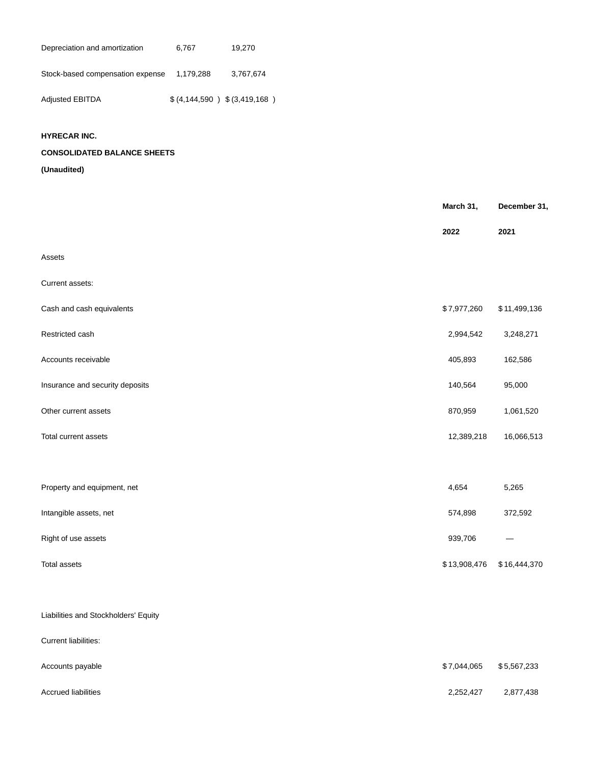| Depreciation and amortization    | 6.767     | 19.270                        |
|----------------------------------|-----------|-------------------------------|
| Stock-based compensation expense | 1.179.288 | 3,767,674                     |
| Adjusted EBITDA                  |           | $$(4,144,590)$ $$(3,419,168)$ |

## **HYRECAR INC.**

## **CONSOLIDATED BALANCE SHEETS**

### **(Unaudited)**

|                                      | March 31,    | December 31, |  |
|--------------------------------------|--------------|--------------|--|
|                                      | 2022         | 2021         |  |
| Assets                               |              |              |  |
| Current assets:                      |              |              |  |
| Cash and cash equivalents            | \$7,977,260  | \$11,499,136 |  |
| Restricted cash                      | 2,994,542    | 3,248,271    |  |
| Accounts receivable                  | 405,893      | 162,586      |  |
| Insurance and security deposits      | 140,564      | 95,000       |  |
| Other current assets                 | 870,959      | 1,061,520    |  |
| Total current assets                 | 12,389,218   | 16,066,513   |  |
|                                      |              |              |  |
| Property and equipment, net          | 4,654        | 5,265        |  |
| Intangible assets, net               | 574,898      | 372,592      |  |
| Right of use assets                  | 939,706      |              |  |
| <b>Total assets</b>                  | \$13,908,476 | \$16,444,370 |  |
|                                      |              |              |  |
| Liabilities and Stockholders' Equity |              |              |  |

#### Current liabilities:

| Accounts payable           | \$7,044,065 \$5,567,233 |           |
|----------------------------|-------------------------|-----------|
| <b>Accrued liabilities</b> | 2,252,427               | 2,877,438 |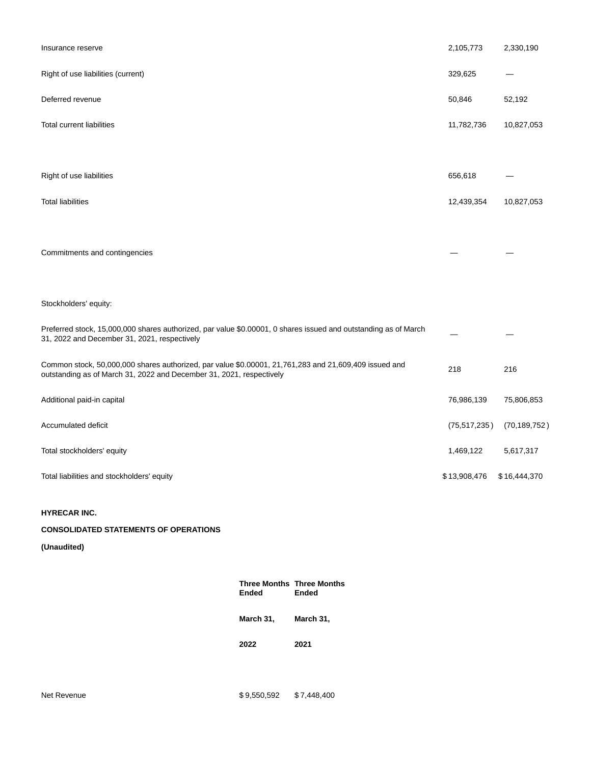| Insurance reserve                                                                                                                                                             |                | 2,330,190      |
|-------------------------------------------------------------------------------------------------------------------------------------------------------------------------------|----------------|----------------|
| Right of use liabilities (current)                                                                                                                                            | 329,625        |                |
| Deferred revenue                                                                                                                                                              | 50,846         | 52,192         |
| <b>Total current liabilities</b>                                                                                                                                              | 11,782,736     | 10,827,053     |
|                                                                                                                                                                               |                |                |
| Right of use liabilities                                                                                                                                                      | 656,618        |                |
| <b>Total liabilities</b>                                                                                                                                                      | 12,439,354     | 10,827,053     |
|                                                                                                                                                                               |                |                |
| Commitments and contingencies                                                                                                                                                 |                |                |
|                                                                                                                                                                               |                |                |
| Stockholders' equity:                                                                                                                                                         |                |                |
| Preferred stock, 15,000,000 shares authorized, par value \$0.00001, 0 shares issued and outstanding as of March<br>31, 2022 and December 31, 2021, respectively               |                |                |
| Common stock, 50,000,000 shares authorized, par value \$0.00001, 21,761,283 and 21,609,409 issued and<br>outstanding as of March 31, 2022 and December 31, 2021, respectively | 218            | 216            |
| Additional paid-in capital                                                                                                                                                    | 76,986,139     | 75,806,853     |
| Accumulated deficit                                                                                                                                                           | (75, 517, 235) | (70, 189, 752) |
| Total stockholders' equity                                                                                                                                                    | 1,469,122      | 5,617,317      |
| Total liabilities and stockholders' equity                                                                                                                                    | \$13,908,476   | \$16,444,370   |
|                                                                                                                                                                               |                |                |

# **HYRECAR INC.**

## **CONSOLIDATED STATEMENTS OF OPERATIONS**

**(Unaudited)**

| <b>Three Months Three Months</b><br>Ended | Ended     |
|-------------------------------------------|-----------|
| March 31,                                 | March 31, |
| 2022                                      | 2021      |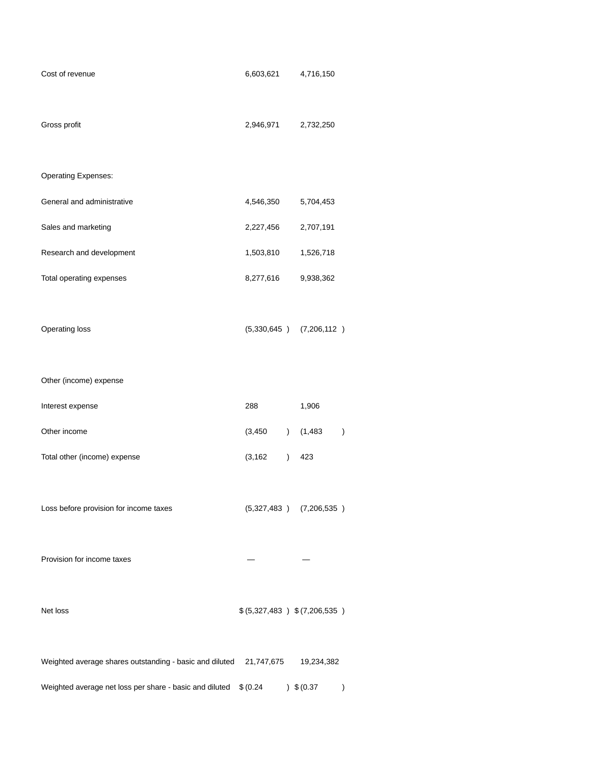| Cost of revenue                                         | 6,603,621                       |               | 4,716,150                   |               |
|---------------------------------------------------------|---------------------------------|---------------|-----------------------------|---------------|
| Gross profit                                            | 2,946,971                       |               | 2,732,250                   |               |
| <b>Operating Expenses:</b>                              |                                 |               |                             |               |
| General and administrative                              | 4,546,350                       |               | 5,704,453                   |               |
| Sales and marketing                                     | 2,227,456                       |               | 2,707,191                   |               |
| Research and development                                | 1,503,810                       |               | 1,526,718                   |               |
| Total operating expenses                                | 8,277,616                       |               | 9,938,362                   |               |
| Operating loss                                          |                                 |               | $(5,330,645)$ $(7,206,112)$ |               |
| Other (income) expense                                  |                                 |               |                             |               |
| Interest expense                                        | 288                             |               | 1,906                       |               |
| Other income                                            | (3, 450)                        | $\mathcal{L}$ | (1, 483)                    | $\mathcal{E}$ |
| Total other (income) expense                            | (3, 162)                        | $\mathcal{E}$ | 423                         |               |
| Loss before provision for income taxes                  |                                 |               | $(5,327,483)$ $(7,206,535)$ |               |
| Provision for income taxes                              |                                 |               |                             |               |
| Net loss                                                | \$ (5,327,483 ) \$ (7,206,535 ) |               |                             |               |
| Weighted average shares outstanding - basic and diluted | 21,747,675                      |               | 19,234,382                  |               |
| Weighted average net loss per share - basic and diluted | \$ (0.24)                       |               | $)$ \$ (0.37                | $\mathcal{C}$ |